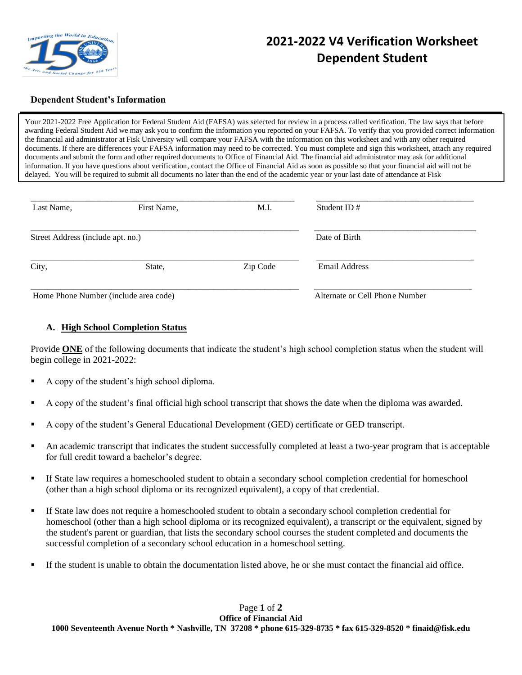

## **2021-2022 V4 Verification Worksheet Dependent Student**

## **Dependent Student's Information**

Your 2021-2022 Free Application for Federal Student Aid (FAFSA) was selected for review in a process called verification. The law says that before awarding Federal Student Aid we may ask you to confirm the information you reported on your FAFSA. To verify that you provided correct information the financial aid administrator at Fisk University will compare your FAFSA with the information on this worksheet and with any other required documents. If there are differences your FAFSA information may need to be corrected. You must complete and sign this worksheet, attach any required documents and submit the form and other required documents to Office of Financial Aid. The financial aid administrator may ask for additional information. If you have questions about verification, contact the Office of Financial Aid as soon as possible so that your financial aid will not be delayed. You will be required to submit all documents no later than the end of the academic year or your last date of attendance at Fisk

| Last Name,                            | First Name, | M.I.     | Student ID $#$                 |
|---------------------------------------|-------------|----------|--------------------------------|
| Street Address (include apt. no.)     |             |          | Date of Birth                  |
| City,                                 | State,      | Zip Code | <b>Email Address</b>           |
| Home Phone Number (include area code) |             |          | Alternate or Cell Phone Number |

## **A. High School Completion Status**

Provide **ONE** of the following documents that indicate the student's high school completion status when the student will begin college in 2021-2022:

- A copy of the student's high school diploma.
- A copy of the student's final official high school transcript that shows the date when the diploma was awarded.
- A copy of the student's General Educational Development (GED) certificate or GED transcript.
- An academic transcript that indicates the student successfully completed at least a two-year program that is acceptable for full credit toward a bachelor's degree.
- If State law requires a homeschooled student to obtain a secondary school completion credential for homeschool (other than a high school diploma or its recognized equivalent), a copy of that credential.
- If State law does not require a homeschooled student to obtain a secondary school completion credential for homeschool (other than a high school diploma or its recognized equivalent), a transcript or the equivalent, signed by the student's parent or guardian, that lists the secondary school courses the student completed and documents the successful completion of a secondary school education in a homeschool setting.
- If the student is unable to obtain the documentation listed above, he or she must contact the financial aid office.

Page **1** of **2 Office of Financial Aid 1000 Seventeenth Avenue North \* Nashville, TN 37208 \* phone 615-329-8735 \* fax 615-329-8520 \* finaid@fisk.edu**